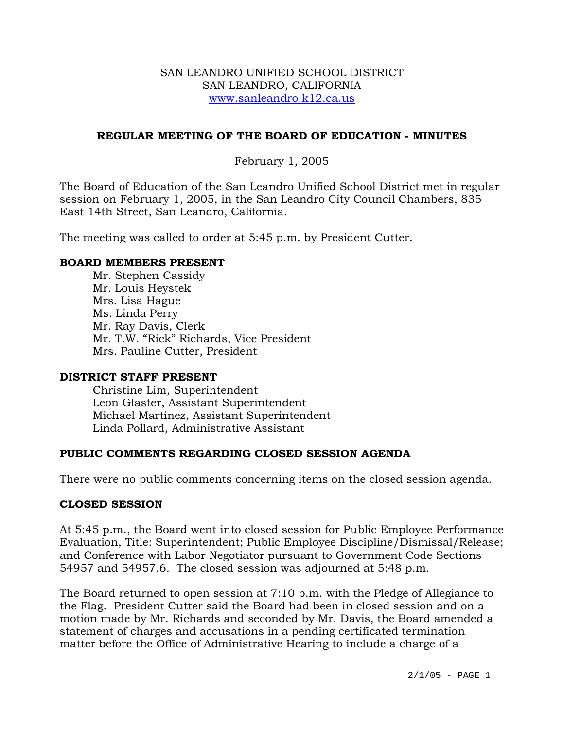#### SAN LEANDRO UNIFIED SCHOOL DISTRICT SAN LEANDRO, CALIFORNIA www.sanleandro.k12.ca.us

# **REGULAR MEETING OF THE BOARD OF EDUCATION - MINUTES**

# February 1, 2005

The Board of Education of the San Leandro Unified School District met in regular session on February 1, 2005, in the San Leandro City Council Chambers, 835 East 14th Street, San Leandro, California.

The meeting was called to order at 5:45 p.m. by President Cutter.

### **BOARD MEMBERS PRESENT**

Mr. Stephen Cassidy Mr. Louis Heystek Mrs. Lisa Hague Ms. Linda Perry Mr. Ray Davis, Clerk Mr. T.W. "Rick" Richards, Vice President Mrs. Pauline Cutter, President

#### **DISTRICT STAFF PRESENT**

Christine Lim, Superintendent Leon Glaster, Assistant Superintendent Michael Martinez, Assistant Superintendent Linda Pollard, Administrative Assistant

# **PUBLIC COMMENTS REGARDING CLOSED SESSION AGENDA**

There were no public comments concerning items on the closed session agenda.

#### **CLOSED SESSION**

At 5:45 p.m., the Board went into closed session for Public Employee Performance Evaluation, Title: Superintendent; Public Employee Discipline/Dismissal/Release; and Conference with Labor Negotiator pursuant to Government Code Sections 54957 and 54957.6. The closed session was adjourned at 5:48 p.m.

The Board returned to open session at 7:10 p.m. with the Pledge of Allegiance to the Flag. President Cutter said the Board had been in closed session and on a motion made by Mr. Richards and seconded by Mr. Davis, the Board amended a statement of charges and accusations in a pending certificated termination matter before the Office of Administrative Hearing to include a charge of a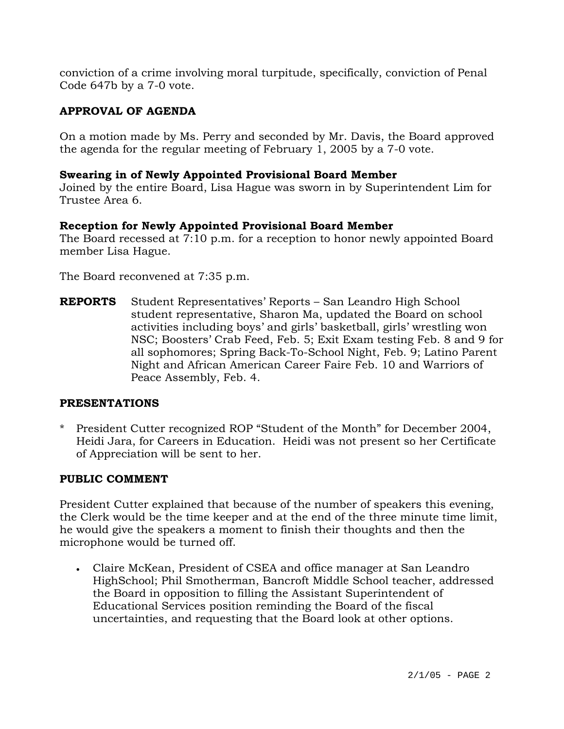conviction of a crime involving moral turpitude, specifically, conviction of Penal Code 647b by a 7-0 vote.

# **APPROVAL OF AGENDA**

On a motion made by Ms. Perry and seconded by Mr. Davis, the Board approved the agenda for the regular meeting of February 1, 2005 by a 7-0 vote.

### **Swearing in of Newly Appointed Provisional Board Member**

Joined by the entire Board, Lisa Hague was sworn in by Superintendent Lim for Trustee Area 6.

# **Reception for Newly Appointed Provisional Board Member**

The Board recessed at 7:10 p.m. for a reception to honor newly appointed Board member Lisa Hague.

The Board reconvened at 7:35 p.m.

**REPORTS** Student Representatives' Reports – San Leandro High School student representative, Sharon Ma, updated the Board on school activities including boys' and girls' basketball, girls' wrestling won NSC; Boosters' Crab Feed, Feb. 5; Exit Exam testing Feb. 8 and 9 for all sophomores; Spring Back-To-School Night, Feb. 9; Latino Parent Night and African American Career Faire Feb. 10 and Warriors of Peace Assembly, Feb. 4.

#### **PRESENTATIONS**

\* President Cutter recognized ROP "Student of the Month" for December 2004, Heidi Jara, for Careers in Education. Heidi was not present so her Certificate of Appreciation will be sent to her.

#### **PUBLIC COMMENT**

President Cutter explained that because of the number of speakers this evening, the Clerk would be the time keeper and at the end of the three minute time limit, he would give the speakers a moment to finish their thoughts and then the microphone would be turned off.

• Claire McKean, President of CSEA and office manager at San Leandro HighSchool; Phil Smotherman, Bancroft Middle School teacher, addressed the Board in opposition to filling the Assistant Superintendent of Educational Services position reminding the Board of the fiscal uncertainties, and requesting that the Board look at other options.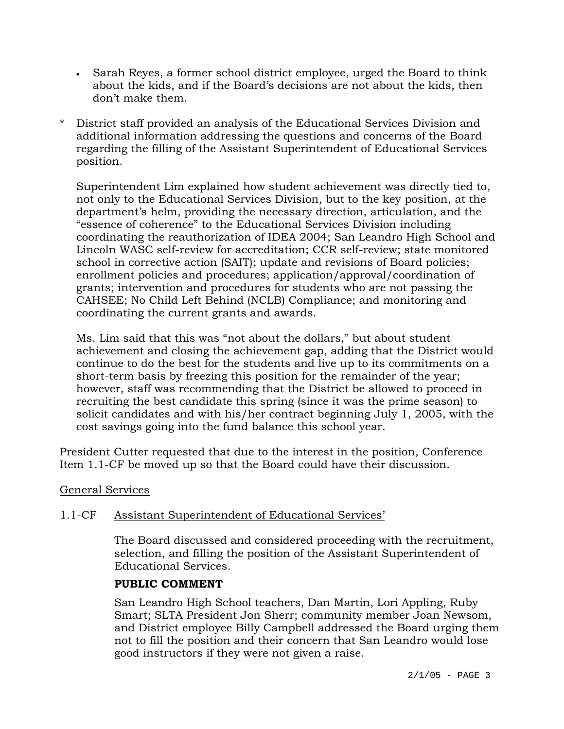- Sarah Reyes, a former school district employee, urged the Board to think about the kids, and if the Board's decisions are not about the kids, then don't make them.
- \* District staff provided an analysis of the Educational Services Division and additional information addressing the questions and concerns of the Board regarding the filling of the Assistant Superintendent of Educational Services position.

Superintendent Lim explained how student achievement was directly tied to, not only to the Educational Services Division, but to the key position, at the department's helm, providing the necessary direction, articulation, and the "essence of coherence" to the Educational Services Division including coordinating the reauthorization of IDEA 2004; San Leandro High School and Lincoln WASC self-review for accreditation; CCR self-review; state monitored school in corrective action (SAIT); update and revisions of Board policies; enrollment policies and procedures; application/approval/coordination of grants; intervention and procedures for students who are not passing the CAHSEE; No Child Left Behind (NCLB) Compliance; and monitoring and coordinating the current grants and awards.

Ms. Lim said that this was "not about the dollars," but about student achievement and closing the achievement gap, adding that the District would continue to do the best for the students and live up to its commitments on a short-term basis by freezing this position for the remainder of the year; however, staff was recommending that the District be allowed to proceed in recruiting the best candidate this spring (since it was the prime season) to solicit candidates and with his/her contract beginning July 1, 2005, with the cost savings going into the fund balance this school year.

President Cutter requested that due to the interest in the position, Conference Item 1.1-CF be moved up so that the Board could have their discussion.

# General Services

# 1.1-CF Assistant Superintendent of Educational Services'

The Board discussed and considered proceeding with the recruitment, selection, and filling the position of the Assistant Superintendent of Educational Services.

# **PUBLIC COMMENT**

San Leandro High School teachers, Dan Martin, Lori Appling, Ruby Smart; SLTA President Jon Sherr; community member Joan Newsom, and District employee Billy Campbell addressed the Board urging them not to fill the position and their concern that San Leandro would lose good instructors if they were not given a raise.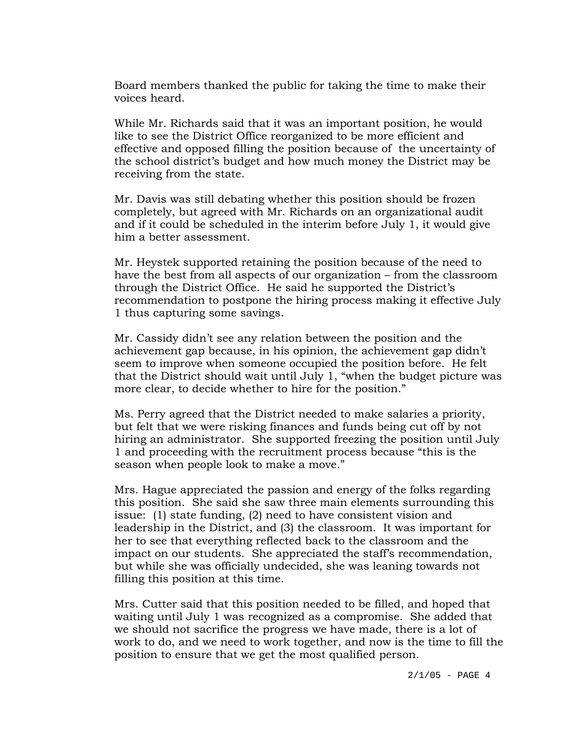Board members thanked the public for taking the time to make their voices heard.

While Mr. Richards said that it was an important position, he would like to see the District Office reorganized to be more efficient and effective and opposed filling the position because of the uncertainty of the school district's budget and how much money the District may be receiving from the state.

Mr. Davis was still debating whether this position should be frozen completely, but agreed with Mr. Richards on an organizational audit and if it could be scheduled in the interim before July 1, it would give him a better assessment.

Mr. Heystek supported retaining the position because of the need to have the best from all aspects of our organization – from the classroom through the District Office. He said he supported the District's recommendation to postpone the hiring process making it effective July 1 thus capturing some savings.

Mr. Cassidy didn't see any relation between the position and the achievement gap because, in his opinion, the achievement gap didn't seem to improve when someone occupied the position before. He felt that the District should wait until July 1, "when the budget picture was more clear, to decide whether to hire for the position."

Ms. Perry agreed that the District needed to make salaries a priority, but felt that we were risking finances and funds being cut off by not hiring an administrator. She supported freezing the position until July 1 and proceeding with the recruitment process because "this is the season when people look to make a move."

Mrs. Hague appreciated the passion and energy of the folks regarding this position. She said she saw three main elements surrounding this issue: (1) state funding, (2) need to have consistent vision and leadership in the District, and (3) the classroom. It was important for her to see that everything reflected back to the classroom and the impact on our students. She appreciated the staff's recommendation, but while she was officially undecided, she was leaning towards not filling this position at this time.

Mrs. Cutter said that this position needed to be filled, and hoped that waiting until July 1 was recognized as a compromise. She added that we should not sacrifice the progress we have made, there is a lot of work to do, and we need to work together, and now is the time to fill the position to ensure that we get the most qualified person.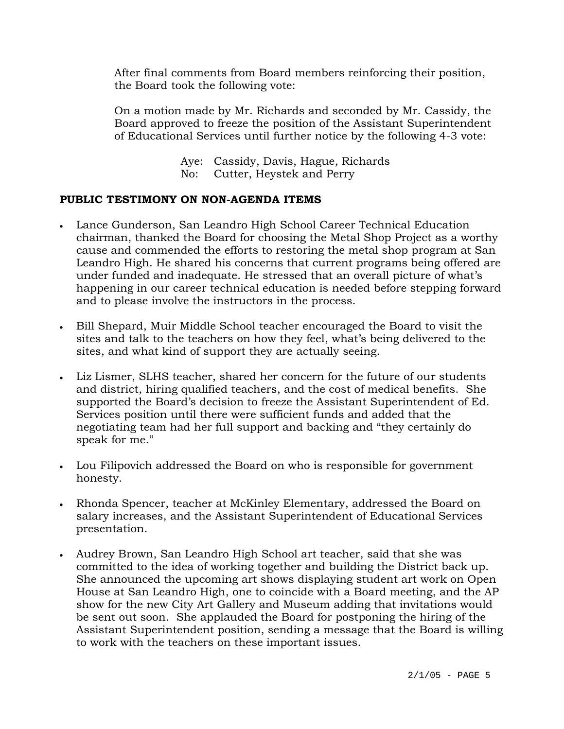After final comments from Board members reinforcing their position, the Board took the following vote:

On a motion made by Mr. Richards and seconded by Mr. Cassidy, the Board approved to freeze the position of the Assistant Superintendent of Educational Services until further notice by the following 4-3 vote:

> Aye: Cassidy, Davis, Hague, Richards No: Cutter, Heystek and Perry

# **PUBLIC TESTIMONY ON NON-AGENDA ITEMS**

- Lance Gunderson, San Leandro High School Career Technical Education chairman, thanked the Board for choosing the Metal Shop Project as a worthy cause and commended the efforts to restoring the metal shop program at San Leandro High. He shared his concerns that current programs being offered are under funded and inadequate. He stressed that an overall picture of what's happening in our career technical education is needed before stepping forward and to please involve the instructors in the process.
- Bill Shepard, Muir Middle School teacher encouraged the Board to visit the sites and talk to the teachers on how they feel, what's being delivered to the sites, and what kind of support they are actually seeing.
- Liz Lismer, SLHS teacher, shared her concern for the future of our students and district, hiring qualified teachers, and the cost of medical benefits. She supported the Board's decision to freeze the Assistant Superintendent of Ed. Services position until there were sufficient funds and added that the negotiating team had her full support and backing and "they certainly do speak for me."
- Lou Filipovich addressed the Board on who is responsible for government honesty.
- Rhonda Spencer, teacher at McKinley Elementary, addressed the Board on salary increases, and the Assistant Superintendent of Educational Services presentation.
- Audrey Brown, San Leandro High School art teacher, said that she was committed to the idea of working together and building the District back up. She announced the upcoming art shows displaying student art work on Open House at San Leandro High, one to coincide with a Board meeting, and the AP show for the new City Art Gallery and Museum adding that invitations would be sent out soon. She applauded the Board for postponing the hiring of the Assistant Superintendent position, sending a message that the Board is willing to work with the teachers on these important issues.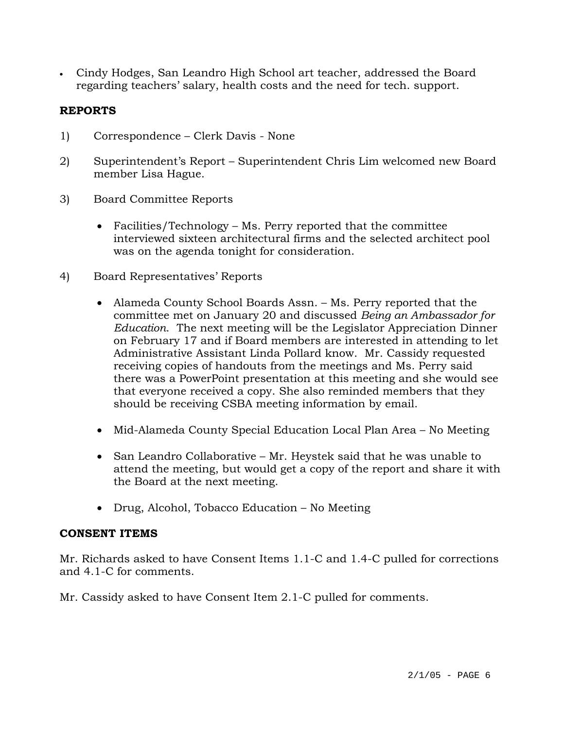• Cindy Hodges, San Leandro High School art teacher, addressed the Board regarding teachers' salary, health costs and the need for tech. support.

# **REPORTS**

- 1) Correspondence Clerk Davis None
- 2) Superintendent's Report Superintendent Chris Lim welcomed new Board member Lisa Hague.
- 3) Board Committee Reports
	- Facilities/Technology Ms. Perry reported that the committee interviewed sixteen architectural firms and the selected architect pool was on the agenda tonight for consideration.
- 4) Board Representatives' Reports
	- Alameda County School Boards Assn. Ms. Perry reported that the committee met on January 20 and discussed *Being an Ambassador for Education*. The next meeting will be the Legislator Appreciation Dinner on February 17 and if Board members are interested in attending to let Administrative Assistant Linda Pollard know. Mr. Cassidy requested receiving copies of handouts from the meetings and Ms. Perry said there was a PowerPoint presentation at this meeting and she would see that everyone received a copy. She also reminded members that they should be receiving CSBA meeting information by email.
	- Mid-Alameda County Special Education Local Plan Area No Meeting
	- San Leandro Collaborative Mr. Heystek said that he was unable to attend the meeting, but would get a copy of the report and share it with the Board at the next meeting.
	- Drug, Alcohol, Tobacco Education No Meeting

# **CONSENT ITEMS**

Mr. Richards asked to have Consent Items 1.1-C and 1.4-C pulled for corrections and 4.1-C for comments.

Mr. Cassidy asked to have Consent Item 2.1-C pulled for comments.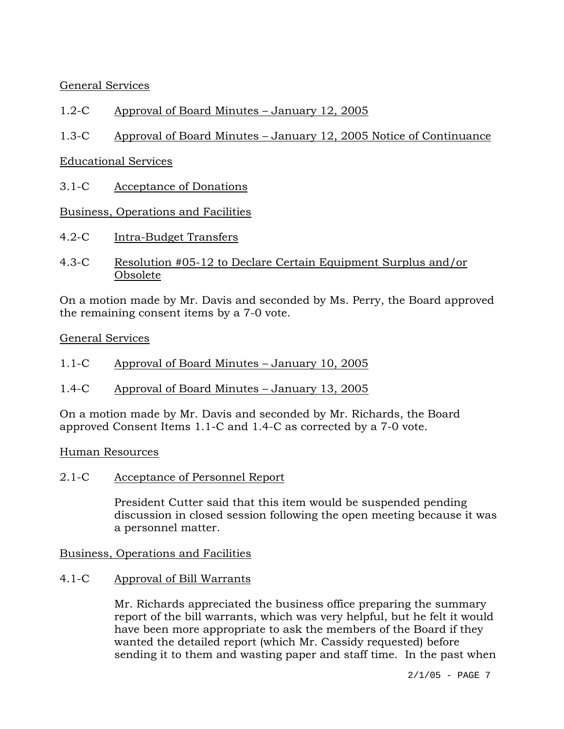General Services

# 1.2-C Approval of Board Minutes – January 12, 2005

# 1.3-C Approval of Board Minutes – January 12, 2005 Notice of Continuance

# Educational Services

3.1-C Acceptance of Donations

# Business, Operations and Facilities

- 4.2-C Intra-Budget Transfers
- 4.3-C Resolution #05-12 to Declare Certain Equipment Surplus and/or Obsolete

On a motion made by Mr. Davis and seconded by Ms. Perry, the Board approved the remaining consent items by a 7-0 vote.

### General Services

- 1.1-C Approval of Board Minutes January 10, 2005
- 1.4-C Approval of Board Minutes January 13, 2005

On a motion made by Mr. Davis and seconded by Mr. Richards, the Board approved Consent Items 1.1-C and 1.4-C as corrected by a 7-0 vote.

# Human Resources

2.1-C Acceptance of Personnel Report

President Cutter said that this item would be suspended pending discussion in closed session following the open meeting because it was a personnel matter.

# Business, Operations and Facilities

# 4.1-C Approval of Bill Warrants

Mr. Richards appreciated the business office preparing the summary report of the bill warrants, which was very helpful, but he felt it would have been more appropriate to ask the members of the Board if they wanted the detailed report (which Mr. Cassidy requested) before sending it to them and wasting paper and staff time. In the past when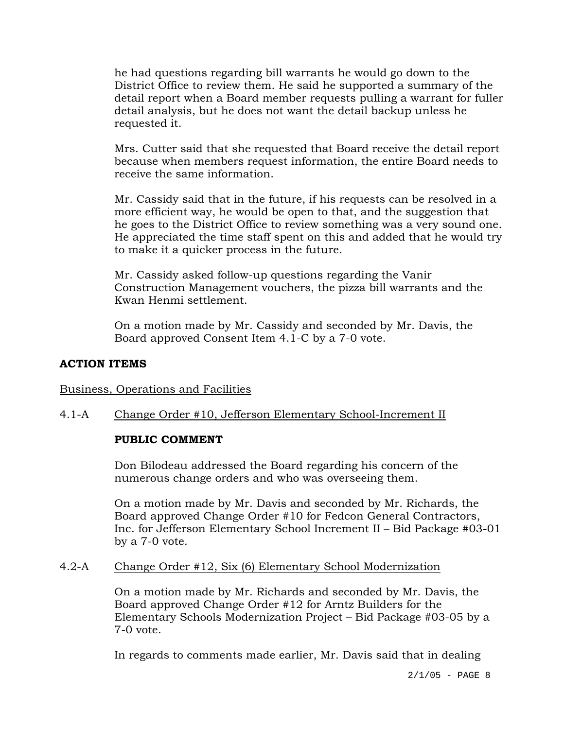he had questions regarding bill warrants he would go down to the District Office to review them. He said he supported a summary of the detail report when a Board member requests pulling a warrant for fuller detail analysis, but he does not want the detail backup unless he requested it.

Mrs. Cutter said that she requested that Board receive the detail report because when members request information, the entire Board needs to receive the same information.

Mr. Cassidy said that in the future, if his requests can be resolved in a more efficient way, he would be open to that, and the suggestion that he goes to the District Office to review something was a very sound one. He appreciated the time staff spent on this and added that he would try to make it a quicker process in the future.

Mr. Cassidy asked follow-up questions regarding the Vanir Construction Management vouchers, the pizza bill warrants and the Kwan Henmi settlement.

On a motion made by Mr. Cassidy and seconded by Mr. Davis, the Board approved Consent Item 4.1-C by a 7-0 vote.

### **ACTION ITEMS**

#### Business, Operations and Facilities

# 4.1-A Change Order #10, Jefferson Elementary School-Increment II

# **PUBLIC COMMENT**

Don Bilodeau addressed the Board regarding his concern of the numerous change orders and who was overseeing them.

On a motion made by Mr. Davis and seconded by Mr. Richards, the Board approved Change Order #10 for Fedcon General Contractors, Inc. for Jefferson Elementary School Increment II – Bid Package #03-01 by a 7-0 vote.

#### 4.2-A Change Order #12, Six (6) Elementary School Modernization

On a motion made by Mr. Richards and seconded by Mr. Davis, the Board approved Change Order #12 for Arntz Builders for the Elementary Schools Modernization Project – Bid Package #03-05 by a 7-0 vote.

In regards to comments made earlier, Mr. Davis said that in dealing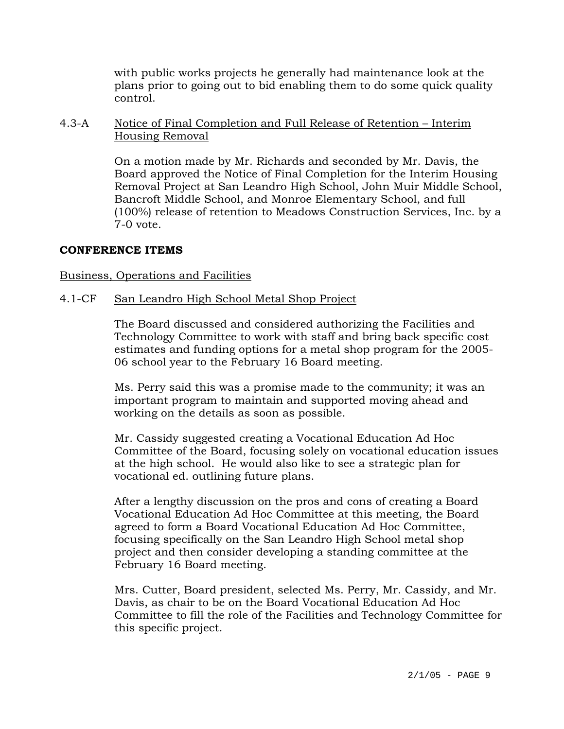with public works projects he generally had maintenance look at the plans prior to going out to bid enabling them to do some quick quality control.

### 4.3-A Notice of Final Completion and Full Release of Retention – Interim Housing Removal

On a motion made by Mr. Richards and seconded by Mr. Davis, the Board approved the Notice of Final Completion for the Interim Housing Removal Project at San Leandro High School, John Muir Middle School, Bancroft Middle School, and Monroe Elementary School, and full (100%) release of retention to Meadows Construction Services, Inc. by a 7-0 vote.

# **CONFERENCE ITEMS**

### Business, Operations and Facilities

### 4.1-CF San Leandro High School Metal Shop Project

The Board discussed and considered authorizing the Facilities and Technology Committee to work with staff and bring back specific cost estimates and funding options for a metal shop program for the 2005- 06 school year to the February 16 Board meeting.

Ms. Perry said this was a promise made to the community; it was an important program to maintain and supported moving ahead and working on the details as soon as possible.

Mr. Cassidy suggested creating a Vocational Education Ad Hoc Committee of the Board, focusing solely on vocational education issues at the high school. He would also like to see a strategic plan for vocational ed. outlining future plans.

After a lengthy discussion on the pros and cons of creating a Board Vocational Education Ad Hoc Committee at this meeting, the Board agreed to form a Board Vocational Education Ad Hoc Committee, focusing specifically on the San Leandro High School metal shop project and then consider developing a standing committee at the February 16 Board meeting.

Mrs. Cutter, Board president, selected Ms. Perry, Mr. Cassidy, and Mr. Davis, as chair to be on the Board Vocational Education Ad Hoc Committee to fill the role of the Facilities and Technology Committee for this specific project.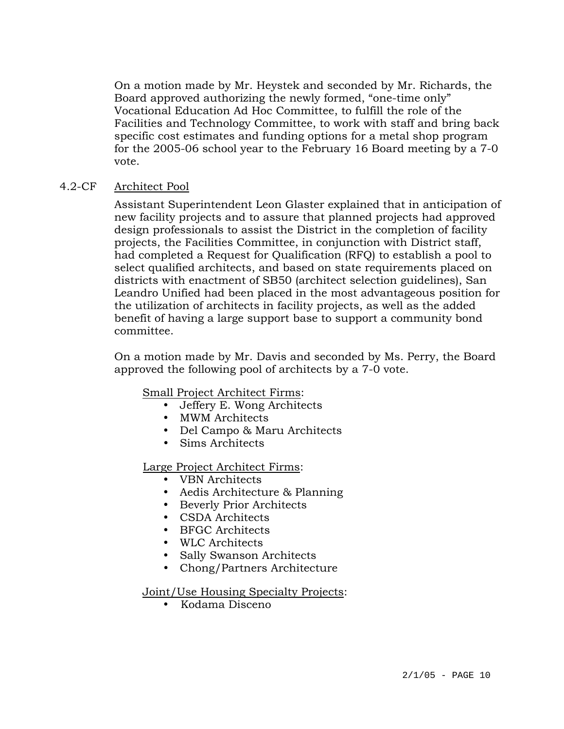On a motion made by Mr. Heystek and seconded by Mr. Richards, the Board approved authorizing the newly formed, "one-time only" Vocational Education Ad Hoc Committee, to fulfill the role of the Facilities and Technology Committee, to work with staff and bring back specific cost estimates and funding options for a metal shop program for the 2005-06 school year to the February 16 Board meeting by a 7-0 vote.

# 4.2-CF Architect Pool

Assistant Superintendent Leon Glaster explained that in anticipation of new facility projects and to assure that planned projects had approved design professionals to assist the District in the completion of facility projects, the Facilities Committee, in conjunction with District staff, had completed a Request for Qualification (RFQ) to establish a pool to select qualified architects, and based on state requirements placed on districts with enactment of SB50 (architect selection guidelines), San Leandro Unified had been placed in the most advantageous position for the utilization of architects in facility projects, as well as the added benefit of having a large support base to support a community bond committee.

On a motion made by Mr. Davis and seconded by Ms. Perry, the Board approved the following pool of architects by a 7-0 vote.

Small Project Architect Firms:

- Jeffery E. Wong Architects
- MWM Architects
- Del Campo & Maru Architects
- Sims Architects

Large Project Architect Firms:

- VBN Architects
- Aedis Architecture & Planning
- Beverly Prior Architects
- CSDA Architects
- BFGC Architects
- WLC Architects
- Sally Swanson Architects
- Chong/Partners Architecture

Joint/Use Housing Specialty Projects:

• Kodama Disceno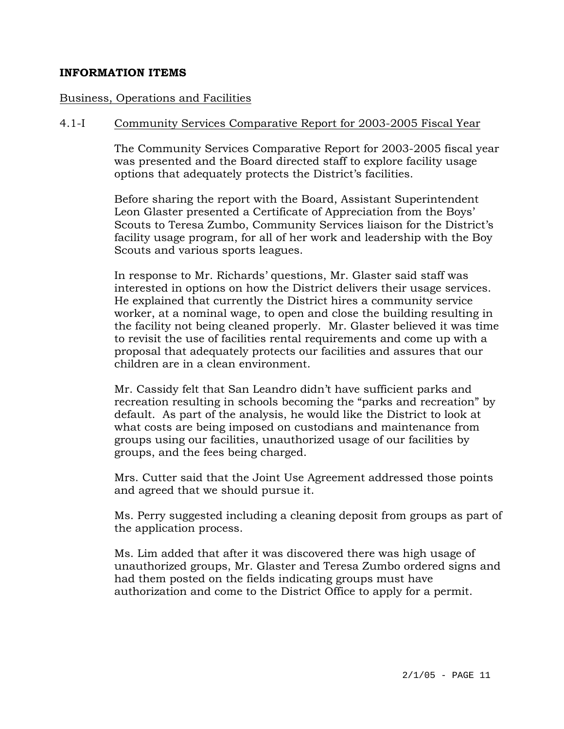#### **INFORMATION ITEMS**

#### Business, Operations and Facilities

#### 4.1-I Community Services Comparative Report for 2003-2005 Fiscal Year

The Community Services Comparative Report for 2003-2005 fiscal year was presented and the Board directed staff to explore facility usage options that adequately protects the District's facilities.

Before sharing the report with the Board, Assistant Superintendent Leon Glaster presented a Certificate of Appreciation from the Boys' Scouts to Teresa Zumbo, Community Services liaison for the District's facility usage program, for all of her work and leadership with the Boy Scouts and various sports leagues.

In response to Mr. Richards' questions, Mr. Glaster said staff was interested in options on how the District delivers their usage services. He explained that currently the District hires a community service worker, at a nominal wage, to open and close the building resulting in the facility not being cleaned properly. Mr. Glaster believed it was time to revisit the use of facilities rental requirements and come up with a proposal that adequately protects our facilities and assures that our children are in a clean environment.

Mr. Cassidy felt that San Leandro didn't have sufficient parks and recreation resulting in schools becoming the "parks and recreation" by default. As part of the analysis, he would like the District to look at what costs are being imposed on custodians and maintenance from groups using our facilities, unauthorized usage of our facilities by groups, and the fees being charged.

Mrs. Cutter said that the Joint Use Agreement addressed those points and agreed that we should pursue it.

Ms. Perry suggested including a cleaning deposit from groups as part of the application process.

Ms. Lim added that after it was discovered there was high usage of unauthorized groups, Mr. Glaster and Teresa Zumbo ordered signs and had them posted on the fields indicating groups must have authorization and come to the District Office to apply for a permit.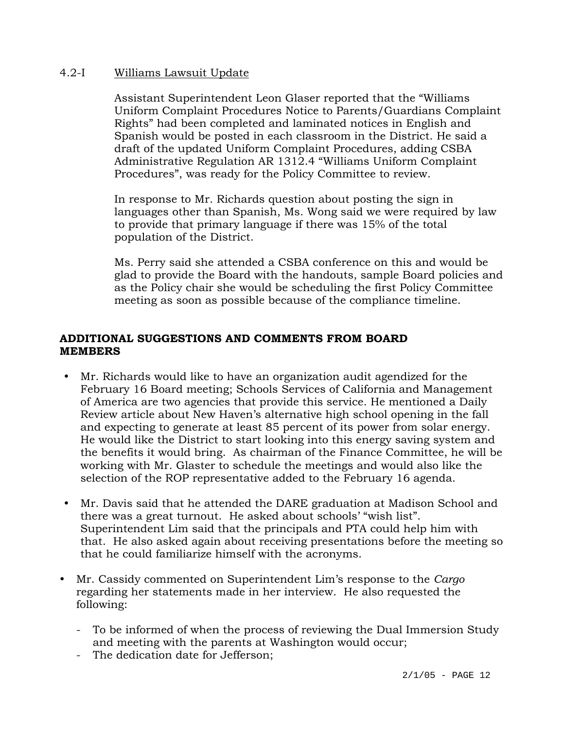### 4.2-I Williams Lawsuit Update

Assistant Superintendent Leon Glaser reported that the "Williams Uniform Complaint Procedures Notice to Parents/Guardians Complaint Rights" had been completed and laminated notices in English and Spanish would be posted in each classroom in the District. He said a draft of the updated Uniform Complaint Procedures, adding CSBA Administrative Regulation AR 1312.4 "Williams Uniform Complaint Procedures", was ready for the Policy Committee to review.

In response to Mr. Richards question about posting the sign in languages other than Spanish, Ms. Wong said we were required by law to provide that primary language if there was 15% of the total population of the District.

Ms. Perry said she attended a CSBA conference on this and would be glad to provide the Board with the handouts, sample Board policies and as the Policy chair she would be scheduling the first Policy Committee meeting as soon as possible because of the compliance timeline.

### **ADDITIONAL SUGGESTIONS AND COMMENTS FROM BOARD MEMBERS**

- y Mr. Richards would like to have an organization audit agendized for the February 16 Board meeting; Schools Services of California and Management of America are two agencies that provide this service. He mentioned a Daily Review article about New Haven's alternative high school opening in the fall and expecting to generate at least 85 percent of its power from solar energy. He would like the District to start looking into this energy saving system and the benefits it would bring. As chairman of the Finance Committee, he will be working with Mr. Glaster to schedule the meetings and would also like the selection of the ROP representative added to the February 16 agenda.
- y Mr. Davis said that he attended the DARE graduation at Madison School and there was a great turnout. He asked about schools' "wish list". Superintendent Lim said that the principals and PTA could help him with that. He also asked again about receiving presentations before the meeting so that he could familiarize himself with the acronyms.
- y Mr. Cassidy commented on Superintendent Lim's response to the *Cargo* regarding her statements made in her interview. He also requested the following:
	- To be informed of when the process of reviewing the Dual Immersion Study and meeting with the parents at Washington would occur;
	- The dedication date for Jefferson;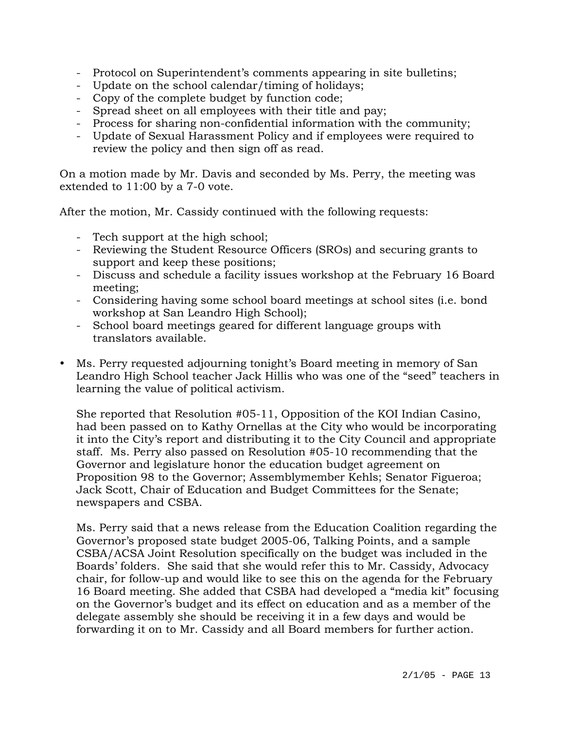- Protocol on Superintendent's comments appearing in site bulletins;
- Update on the school calendar/timing of holidays;
- Copy of the complete budget by function code;
- Spread sheet on all employees with their title and pay;
- Process for sharing non-confidential information with the community;
- Update of Sexual Harassment Policy and if employees were required to review the policy and then sign off as read.

On a motion made by Mr. Davis and seconded by Ms. Perry, the meeting was extended to 11:00 by a 7-0 vote.

After the motion, Mr. Cassidy continued with the following requests:

- Tech support at the high school;
- Reviewing the Student Resource Officers (SROs) and securing grants to support and keep these positions;
- Discuss and schedule a facility issues workshop at the February 16 Board meeting;
- Considering having some school board meetings at school sites (i.e. bond workshop at San Leandro High School);
- School board meetings geared for different language groups with translators available.
- y Ms. Perry requested adjourning tonight's Board meeting in memory of San Leandro High School teacher Jack Hillis who was one of the "seed" teachers in learning the value of political activism.

She reported that Resolution #05-11, Opposition of the KOI Indian Casino, had been passed on to Kathy Ornellas at the City who would be incorporating it into the City's report and distributing it to the City Council and appropriate staff. Ms. Perry also passed on Resolution #05-10 recommending that the Governor and legislature honor the education budget agreement on Proposition 98 to the Governor; Assemblymember Kehls; Senator Figueroa; Jack Scott, Chair of Education and Budget Committees for the Senate; newspapers and CSBA.

Ms. Perry said that a news release from the Education Coalition regarding the Governor's proposed state budget 2005-06, Talking Points, and a sample CSBA/ACSA Joint Resolution specifically on the budget was included in the Boards' folders. She said that she would refer this to Mr. Cassidy, Advocacy chair, for follow-up and would like to see this on the agenda for the February 16 Board meeting. She added that CSBA had developed a "media kit" focusing on the Governor's budget and its effect on education and as a member of the delegate assembly she should be receiving it in a few days and would be forwarding it on to Mr. Cassidy and all Board members for further action.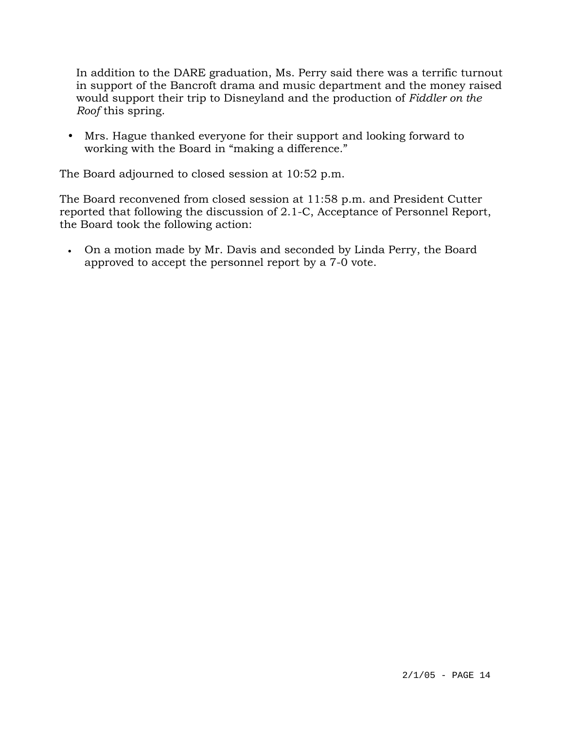In addition to the DARE graduation, Ms. Perry said there was a terrific turnout in support of the Bancroft drama and music department and the money raised would support their trip to Disneyland and the production of *Fiddler on the Roof* this spring.

• Mrs. Hague thanked everyone for their support and looking forward to working with the Board in "making a difference."

The Board adjourned to closed session at 10:52 p.m.

The Board reconvened from closed session at 11:58 p.m. and President Cutter reported that following the discussion of 2.1-C, Acceptance of Personnel Report, the Board took the following action:

• On a motion made by Mr. Davis and seconded by Linda Perry, the Board approved to accept the personnel report by a 7-0 vote.